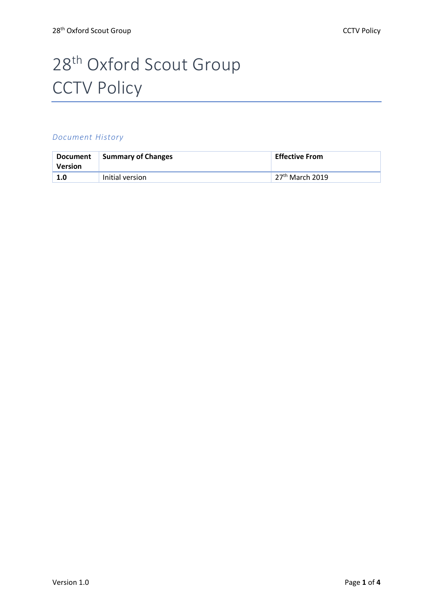# 28<sup>th</sup> Oxford Scout Group **CCTV Policy**

#### *Document History*

| <b>Document</b><br>Version | Summary of Changes | <b>Effective From</b> |
|----------------------------|--------------------|-----------------------|
| 1.0                        | Initial version    | $27th$ March 2019     |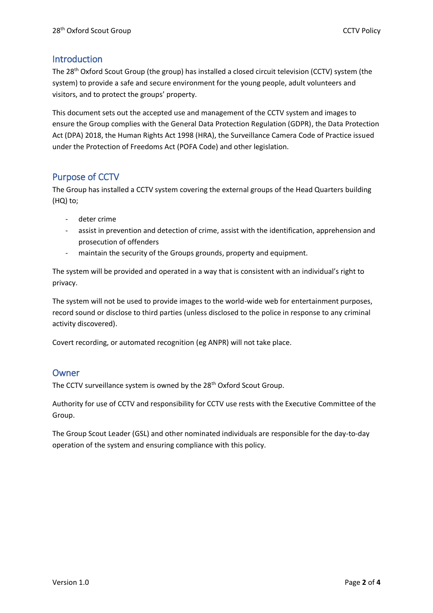## Introduction

The 28th Oxford Scout Group (the group) has installed a closed circuit television (CCTV) system (the system) to provide a safe and secure environment for the young people, adult volunteers and visitors, and to protect the groups' property.

This document sets out the accepted use and management of the CCTV system and images to ensure the Group complies with the General Data Protection Regulation (GDPR), the Data Protection Act (DPA) 2018, the Human Rights Act 1998 (HRA), the Surveillance Camera Code of Practice issued under the Protection of Freedoms Act (POFA Code) and other legislation.

# Purpose of CCTV

The Group has installed a CCTV system covering the external groups of the Head Quarters building (HQ) to;

- deter crime
- assist in prevention and detection of crime, assist with the identification, apprehension and prosecution of offenders
- maintain the security of the Groups grounds, property and equipment.

The system will be provided and operated in a way that is consistent with an individual's right to privacy.

The system will not be used to provide images to the world-wide web for entertainment purposes, record sound or disclose to third parties (unless disclosed to the police in response to any criminal activity discovered).

Covert recording, or automated recognition (eg ANPR) will not take place.

## Owner

The CCTV surveillance system is owned by the 28<sup>th</sup> Oxford Scout Group.

Authority for use of CCTV and responsibility for CCTV use rests with the Executive Committee of the Group.

The Group Scout Leader (GSL) and other nominated individuals are responsible for the day-to-day operation of the system and ensuring compliance with this policy.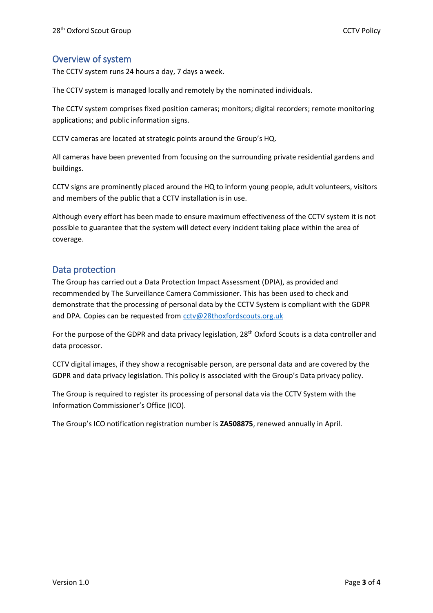# Overview of system

The CCTV system runs 24 hours a day, 7 days a week.

The CCTV system is managed locally and remotely by the nominated individuals.

The CCTV system comprises fixed position cameras; monitors; digital recorders; remote monitoring applications; and public information signs.

CCTV cameras are located at strategic points around the Group's HQ.

All cameras have been prevented from focusing on the surrounding private residential gardens and buildings.

CCTV signs are prominently placed around the HQ to inform young people, adult volunteers, visitors and members of the public that a CCTV installation is in use.

Although every effort has been made to ensure maximum effectiveness of the CCTV system it is not possible to guarantee that the system will detect every incident taking place within the area of coverage.

## Data protection

The Group has carried out a Data Protection Impact Assessment (DPIA), as provided and recommended by The Surveillance Camera Commissioner. This has been used to check and demonstrate that the processing of personal data by the CCTV System is compliant with the GDPR and DPA. Copies can be requested from [cctv@28thoxfordscouts.org.uk](mailto:cctv@28thoxfordscouts.org.uk)

For the purpose of the GDPR and data privacy legislation, 28<sup>th</sup> Oxford Scouts is a data controller and data processor.

CCTV digital images, if they show a recognisable person, are personal data and are covered by the GDPR and data privacy legislation. This policy is associated with the Group's Data privacy policy.

The Group is required to register its processing of personal data via the CCTV System with the Information Commissioner's Office (ICO).

The Group's ICO notification registration number is **ZA508875**, renewed annually in April.